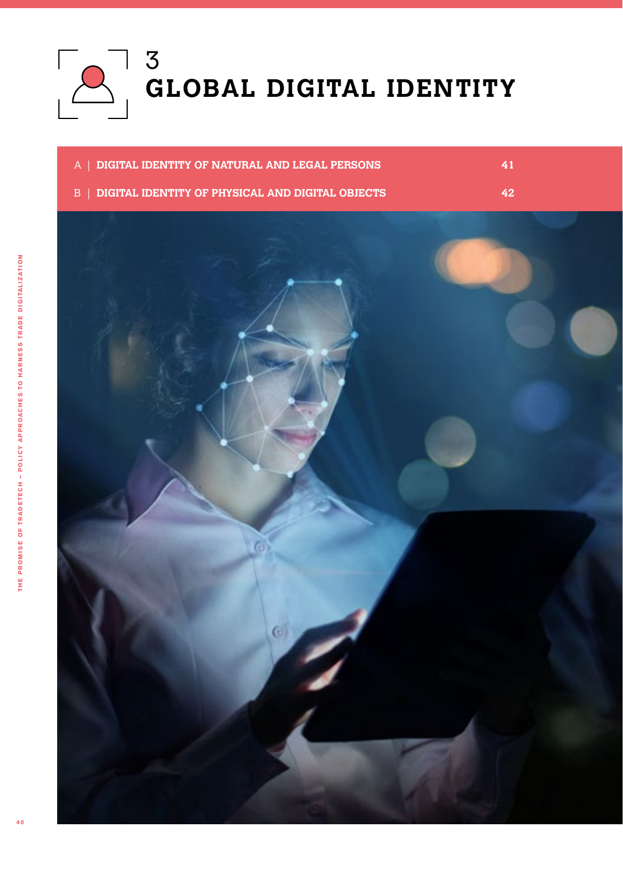

| A   DIGITAL IDENTITY OF NATURAL AND LEGAL PERSONS           | 41   |
|-------------------------------------------------------------|------|
| <b>B</b>   DIGITAL IDENTITY OF PHYSICAL AND DIGITAL OBJECTS | (42) |

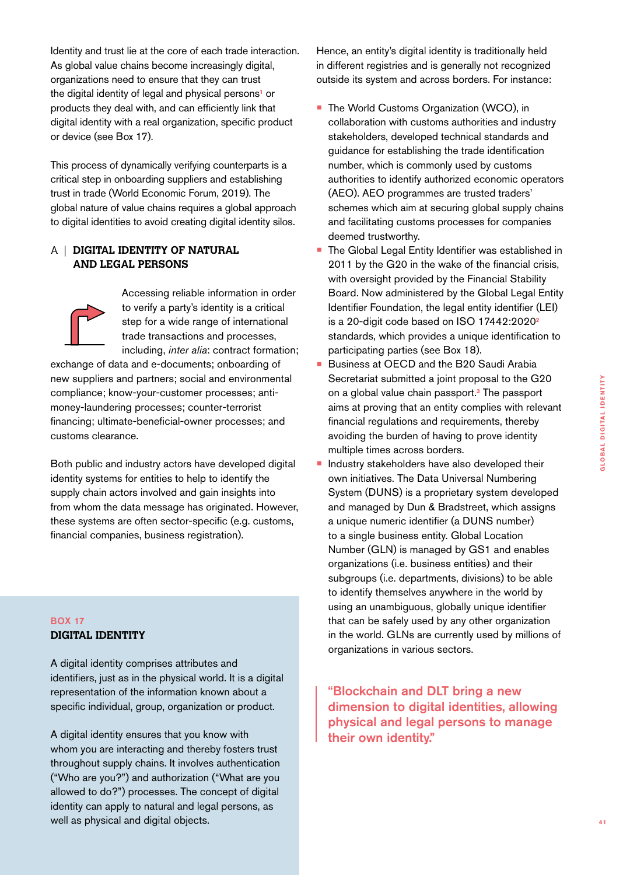Identity and trust lie at the core of each trade interaction. As global value chains become increasingly digital, organizations need to ensure that they can trust the digital identity of legal and physical persons**1** or products they deal with, and can efficiently link that digital identity with a real organization, specific product or device (see Box 17).

This process of dynamically verifying counterparts is a critical step in onboarding suppliers and establishing trust in trade (World Economic Forum, 2019). The global nature of value chains requires a global approach to digital identities to avoid creating digital identity silos.

### A | **DIGITAL IDENTITY OF NATURAL AND LEGAL PERSONS**



Accessing reliable information in order to verify a party's identity is a critical step for a wide range of international trade transactions and processes, including, *inter alia*: contract formation;

exchange of data and e-documents; onboarding of new suppliers and partners; social and environmental compliance; know-your-customer processes; antimoney-laundering processes; counter-terrorist financing; ultimate-beneficial-owner processes; and customs clearance.

Both public and industry actors have developed digital identity systems for entities to help to identify the supply chain actors involved and gain insights into from whom the data message has originated. However, these systems are often sector-specific (e.g. customs, financial companies, business registration).

#### BOX 17 **DIGITAL IDENTITY**

A digital identity comprises attributes and identifiers, just as in the physical world. It is a digital representation of the information known about a specific individual, group, organization or product.

A digital identity ensures that you know with whom you are interacting and thereby fosters trust throughout supply chains. It involves authentication ("Who are you?") and authorization ("What are you allowed to do?") processes. The concept of digital identity can apply to natural and legal persons, as well as physical and digital objects.

Hence, an entity's digital identity is traditionally held in different registries and is generally not recognized outside its system and across borders. For instance:

- **The World Customs Organization (WCO), in** collaboration with customs authorities and industry stakeholders, developed technical standards and guidance for establishing the trade identification number, which is commonly used by customs authorities to identify authorized economic operators (AEO). AEO programmes are trusted traders' schemes which aim at securing global supply chains and facilitating customs processes for companies deemed trustworthy.
- **The Global Legal Entity Identifier was established in** 2011 by the G20 in the wake of the financial crisis, with oversight provided by the Financial Stability Board. Now administered by the Global Legal Entity Identifier Foundation, the legal entity identifier (LEI) is a 20-digit code based on ISO 17442:2020**<sup>2</sup>** standards, which provides a unique identification to participating parties (see Box 18).
- **Business at OECD and the B20 Saudi Arabia** Secretariat submitted a joint proposal to the G20 on a global value chain passport.**3** The passport aims at proving that an entity complies with relevant financial regulations and requirements, thereby avoiding the burden of having to prove identity multiple times across borders.
- **Industry stakeholders have also developed their** own initiatives. The Data Universal Numbering System (DUNS) is a proprietary system developed and managed by Dun & Bradstreet, which assigns a unique numeric identifier (a DUNS number) to a single business entity. Global Location Number (GLN) is managed by GS1 and enables organizations (i.e. business entities) and their subgroups (i.e. departments, divisions) to be able to identify themselves anywhere in the world by using an unambiguous, globally unique identifier that can be safely used by any other organization in the world. GLNs are currently used by millions of organizations in various sectors.

"Blockchain and DLT bring a new dimension to digital identities, allowing physical and legal persons to manage their own identity."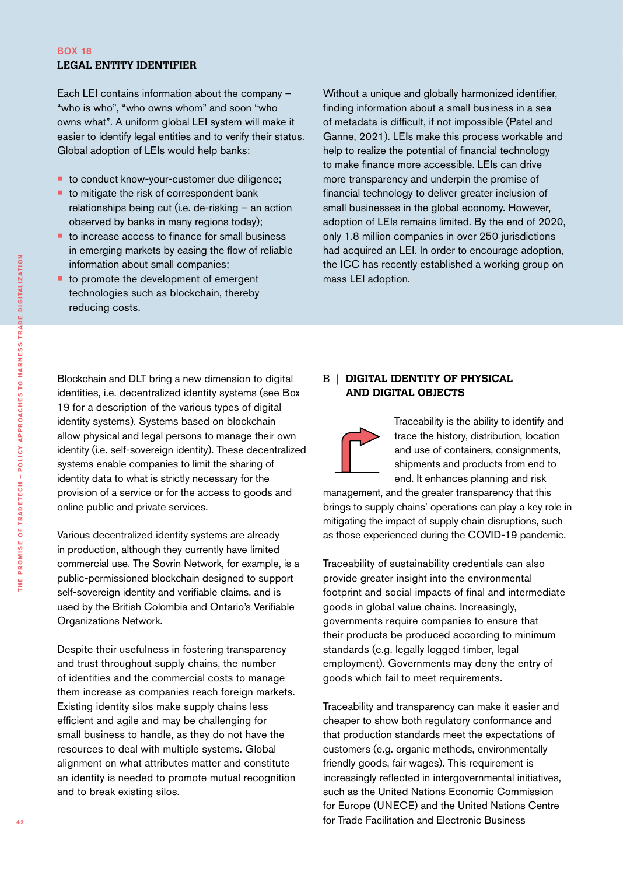#### BOX 18 **LEGAL ENTITY IDENTIFIER**

Each LEI contains information about the company – "who is who", "who owns whom" and soon "who owns what". A uniform global LEI system will make it easier to identify legal entities and to verify their status. Global adoption of LEIs would help banks:

- **to conduct know-your-customer due diligence;**
- **to mitigate the risk of correspondent bank** relationships being cut (i.e. de-risking – an action observed by banks in many regions today);
- to increase access to finance for small business in emerging markets by easing the flow of reliable information about small companies;
- **to promote the development of emergent** technologies such as blockchain, thereby reducing costs.

Without a unique and globally harmonized identifier, finding information about a small business in a sea of metadata is difficult, if not impossible (Patel and Ganne, 2021). LEIs make this process workable and help to realize the potential of financial technology to make finance more accessible. LEIs can drive more transparency and underpin the promise of financial technology to deliver greater inclusion of small businesses in the global economy. However, adoption of LEIs remains limited. By the end of 2020, only 1.8 million companies in over 250 jurisdictions had acquired an LEI. In order to encourage adoption, the ICC has recently established a working group on mass LEI adoption.

Blockchain and DLT bring a new dimension to digital identities, i.e. decentralized identity systems (see Box 19 for a description of the various types of digital identity systems). Systems based on blockchain allow physical and legal persons to manage their own identity (i.e. self-sovereign identity). These decentralized systems enable companies to limit the sharing of identity data to what is strictly necessary for the provision of a service or for the access to goods and online public and private services.

Various decentralized identity systems are already in production, although they currently have limited commercial use. The Sovrin Network, for example, is a public-permissioned blockchain designed to support self-sovereign identity and verifiable claims, and is used by the British Colombia and Ontario's Verifiable Organizations Network.

Despite their usefulness in fostering transparency and trust throughout supply chains, the number of identities and the commercial costs to manage them increase as companies reach foreign markets. Existing identity silos make supply chains less efficient and agile and may be challenging for small business to handle, as they do not have the resources to deal with multiple systems. Global alignment on what attributes matter and constitute an identity is needed to promote mutual recognition and to break existing silos.

### B | **DIGITAL IDENTITY OF PHYSICAL AND DIGITAL OBJECTS**



Traceability is the ability to identify and trace the history, distribution, location and use of containers, consignments, shipments and products from end to end. It enhances planning and risk

management, and the greater transparency that this brings to supply chains' operations can play a key role in mitigating the impact of supply chain disruptions, such as those experienced during the COVID-19 pandemic.

Traceability of sustainability credentials can also provide greater insight into the environmental footprint and social impacts of final and intermediate goods in global value chains. Increasingly, governments require companies to ensure that their products be produced according to minimum standards (e.g. legally logged timber, legal employment). Governments may deny the entry of goods which fail to meet requirements.

Traceability and transparency can make it easier and cheaper to show both regulatory conformance and that production standards meet the expectations of customers (e.g. organic methods, environmentally friendly goods, fair wages). This requirement is increasingly reflected in intergovernmental initiatives, such as the United Nations Economic Commission for Europe (UNECE) and the United Nations Centre for Trade Facilitation and Electronic Business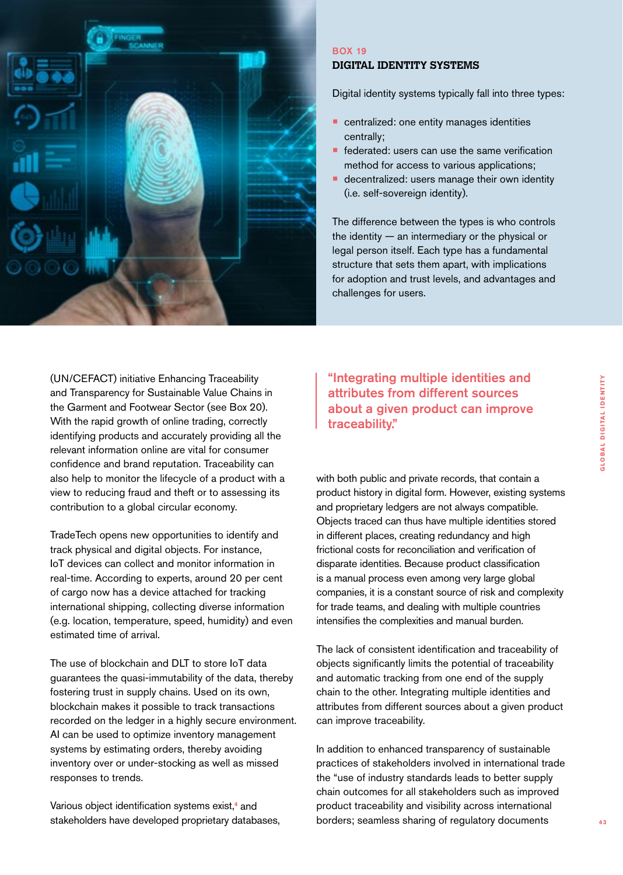

### BOX 19 **DIGITAL IDENTITY SYSTEMS**

Digital identity systems typically fall into three types:

- **•** centralized: one entity manages identities centrally;
- **•** federated: users can use the same verification method for access to various applications;
- decentralized: users manage their own identity (i.e. self-sovereign identity).

The difference between the types is who controls the identity — an intermediary or the physical or legal person itself. Each type has a fundamental structure that sets them apart, with implications for adoption and trust levels, and advantages and challenges for users.

(UN/CEFACT) initiative Enhancing Traceability and Transparency for Sustainable Value Chains in the Garment and Footwear Sector (see Box 20). With the rapid growth of online trading, correctly identifying products and accurately providing all the relevant information online are vital for consumer confidence and brand reputation. Traceability can also help to monitor the lifecycle of a product with a view to reducing fraud and theft or to assessing its contribution to a global circular economy.

TradeTech opens new opportunities to identify and track physical and digital objects. For instance, IoT devices can collect and monitor information in real-time. According to experts, around 20 per cent of cargo now has a device attached for tracking international shipping, collecting diverse information (e.g. location, temperature, speed, humidity) and even estimated time of arrival.

The use of blockchain and DLT to store IoT data guarantees the quasi-immutability of the data, thereby fostering trust in supply chains. Used on its own, blockchain makes it possible to track transactions recorded on the ledger in a highly secure environment. AI can be used to optimize inventory management systems by estimating orders, thereby avoiding inventory over or under-stocking as well as missed responses to trends.

Various object identification systems exist,**4** and stakeholders have developed proprietary databases, "Integrating multiple identities and attributes from different sources about a given product can improve traceability."

with both public and private records, that contain a product history in digital form. However, existing systems and proprietary ledgers are not always compatible. Objects traced can thus have multiple identities stored in different places, creating redundancy and high frictional costs for reconciliation and verification of disparate identities. Because product classification is a manual process even among very large global companies, it is a constant source of risk and complexity for trade teams, and dealing with multiple countries intensifies the complexities and manual burden.

The lack of consistent identification and traceability of objects significantly limits the potential of traceability and automatic tracking from one end of the supply chain to the other. Integrating multiple identities and attributes from different sources about a given product can improve traceability.

In addition to enhanced transparency of sustainable practices of stakeholders involved in international trade the "use of industry standards leads to better supply chain outcomes for all stakeholders such as improved product traceability and visibility across international borders; seamless sharing of regulatory documents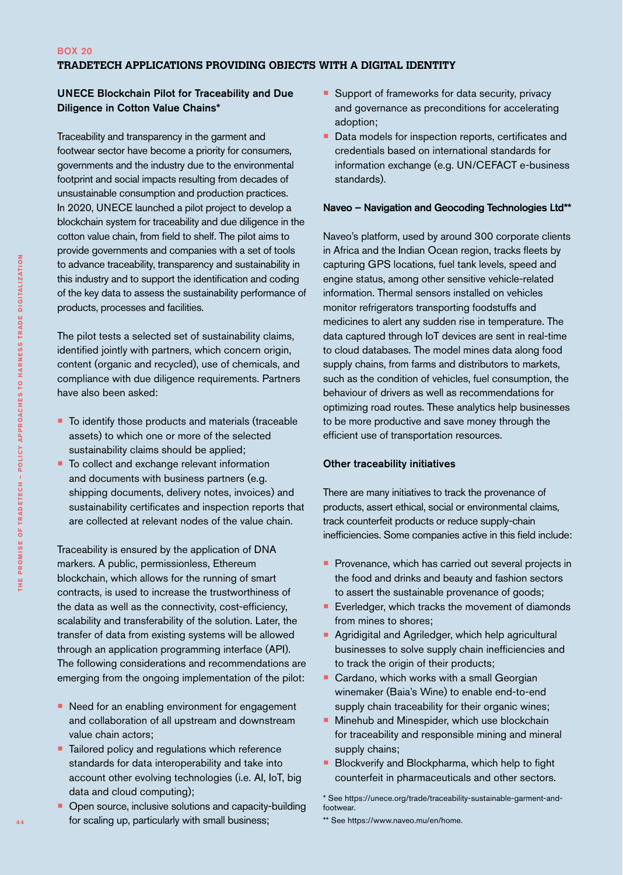### UNECE Blockchain Pilot for Traceability and Due Diligence in Cotton Value Chains\*

Traceability and transparency in the garment and footwear sector have become a priority for consumers, governments and the industry due to the environmental footprint and social impacts resulting from decades of unsustainable consumption and production practices. In 2020, UNECE launched a pilot project to develop a blockchain system for traceability and due diligence in the cotton value chain, from field to shelf. The pilot aims to provide governments and companies with a set of tools to advance traceability, transparency and sustainability in this industry and to support the identification and coding of the key data to assess the sustainability performance of products, processes and facilities.

The pilot tests a selected set of sustainability claims, identified jointly with partners, which concern origin, content (organic and recycled), use of chemicals, and compliance with due diligence requirements. Partners have also been asked:

- To identify those products and materials (traceable assets) to which one or more of the selected sustainability claims should be applied;
- **To collect and exchange relevant information** and documents with business partners (e.g. shipping documents, delivery notes, invoices) and sustainability certificates and inspection reports that are collected at relevant nodes of the value chain.

Traceability is ensured by the application of DNA markers. A public, permissionless, Ethereum blockchain, which allows for the running of smart contracts, is used to increase the trustworthiness of the data as well as the connectivity, cost-efficiency, scalability and transferability of the solution. Later, the transfer of data from existing systems will be allowed through an application programming interface (API). The following considerations and recommendations are emerging from the ongoing implementation of the pilot:

- Need for an enabling environment for engagement and collaboration of all upstream and downstream value chain actors;
- **Tailored policy and regulations which reference** standards for data interoperability and take into account other evolving technologies (i.e. AI, IoT, big data and cloud computing);
- Open source, inclusive solutions and capacity-building for scaling up, particularly with small business;
- Support of frameworks for data security, privacy and governance as preconditions for accelerating adoption;
- Data models for inspection reports, certificates and credentials based on international standards for information exchange (e.g. UN/CEFACT e-business standards).

#### Naveo – Navigation and Geocoding Technologies Ltd\*\*

Naveo's platform, used by around 300 corporate clients in Africa and the Indian Ocean region, tracks fleets by capturing GPS locations, fuel tank levels, speed and engine status, among other sensitive vehicle-related information. Thermal sensors installed on vehicles monitor refrigerators transporting foodstuffs and medicines to alert any sudden rise in temperature. The data captured through IoT devices are sent in real-time to cloud databases. The model mines data along food supply chains, from farms and distributors to markets, such as the condition of vehicles, fuel consumption, the behaviour of drivers as well as recommendations for optimizing road routes. These analytics help businesses to be more productive and save money through the efficient use of transportation resources.

### Other traceability initiatives

There are many initiatives to track the provenance of products, assert ethical, social or environmental claims, track counterfeit products or reduce supply-chain inefficiencies. Some companies active in this field include:

- **Provenance, which has carried out several projects in** the food and drinks and beauty and fashion sectors to assert the sustainable provenance of goods;
- **Everledger, which tracks the movement of diamonds** from mines to shores;
- Agridigital and Agriledger, which help agricultural businesses to solve supply chain inefficiencies and to track the origin of their products;
- **Cardano, which works with a small Georgian** winemaker (Baia's Wine) to enable end-to-end supply chain traceability for their organic wines;
- Minehub and Minespider, which use blockchain for traceability and responsible mining and mineral supply chains;
- **Blockverify and Blockpharma, which help to fight** counterfeit in pharmaceuticals and other sectors.

<sup>\*</sup> See [https://unece.org/trade/traceability-sustainable-garment-and](https://unece.org/trade/traceability-sustainable-garment-and-footwear)footwear.

<sup>\*\*</sup> See [https://www.naveo.mu/en/home.](https://naveo.mu/home)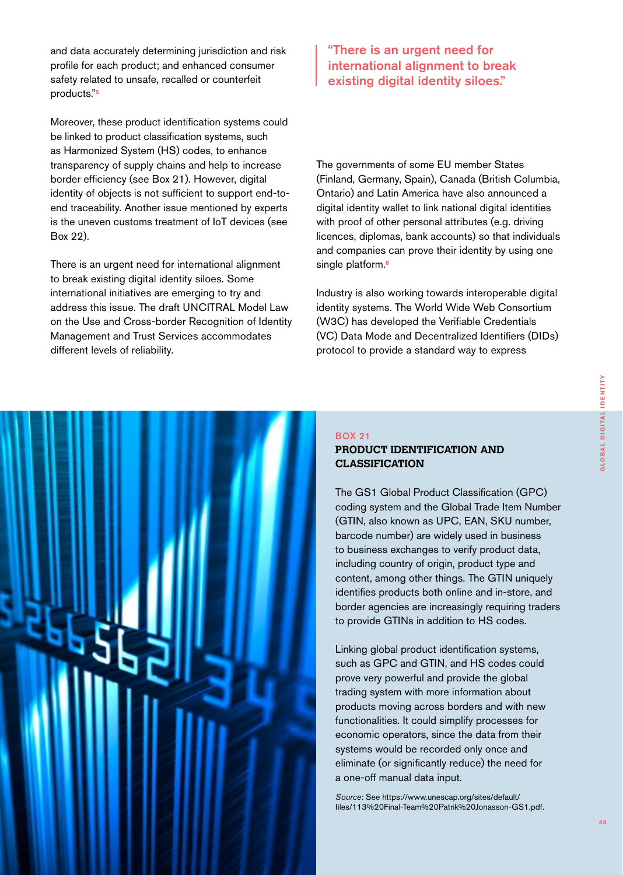and data accurately determining jurisdiction and risk profile for each product; and enhanced consumer safety related to unsafe, recalled or counterfeit products."**<sup>5</sup>**

Moreover, these product identification systems could be linked to product classification systems, such as Harmonized System (HS) codes, to enhance transparency of supply chains and help to increase border efficiency (see Box 21). However, digital identity of objects is not sufficient to support end-toend traceability. Another issue mentioned by experts is the uneven customs treatment of IoT devices (see Box 22).

There is an urgent need for international alignment to break existing digital identity siloes. Some international initiatives are emerging to try and address this issue. The draft UNCITRAL Model Law on the Use and Cross-border Recognition of Identity Management and Trust Services accommodates different levels of reliability.

## "There is an urgent need for international alignment to break existing digital identity siloes."

The governments of some EU member States (Finland, Germany, Spain), Canada (British Columbia, Ontario) and Latin America have also announced a digital identity wallet to link national digital identities with proof of other personal attributes (e.g. driving licences, diplomas, bank accounts) so that individuals and companies can prove their identity by using one single platform.**<sup>6</sup>**

Industry is also working towards interoperable digital identity systems. The World Wide Web Consortium (W3C) has developed the Verifiable Credentials (VC) Data Mode and Decentralized Identifiers (DIDs) protocol to provide a standard way to express

# BOX 21

### **PRODUCT IDENTIFICATION AND CLASSIFICATION**

The GS1 Global Product Classification (GPC) coding system and the Global Trade Item Number (GTIN, also known as UPC, EAN, SKU number, barcode number) are widely used in business to business exchanges to verify product data, including country of origin, product type and content, among other things. The GTIN uniquely identifies products both online and in-store, and border agencies are increasingly requiring traders to provide GTINs in addition to HS codes.

Linking global product identification systems, such as GPC and GTIN, and HS codes could prove very powerful and provide the global trading system with more information about products moving across borders and with new functionalities. It could simplify processes for economic operators, since the data from their systems would be recorded only once and eliminate (or significantly reduce) the need for a one-off manual data input.

*Source*: See https://www.unescap.org/sites/default/ files/113[%20Final-Team%20Patrik%20Jonasson-GS1.pdf.](https://www.unescap.org/sites/default/files/113%20Final-Team%20Patrik%20Jonasson-GS1.pdf)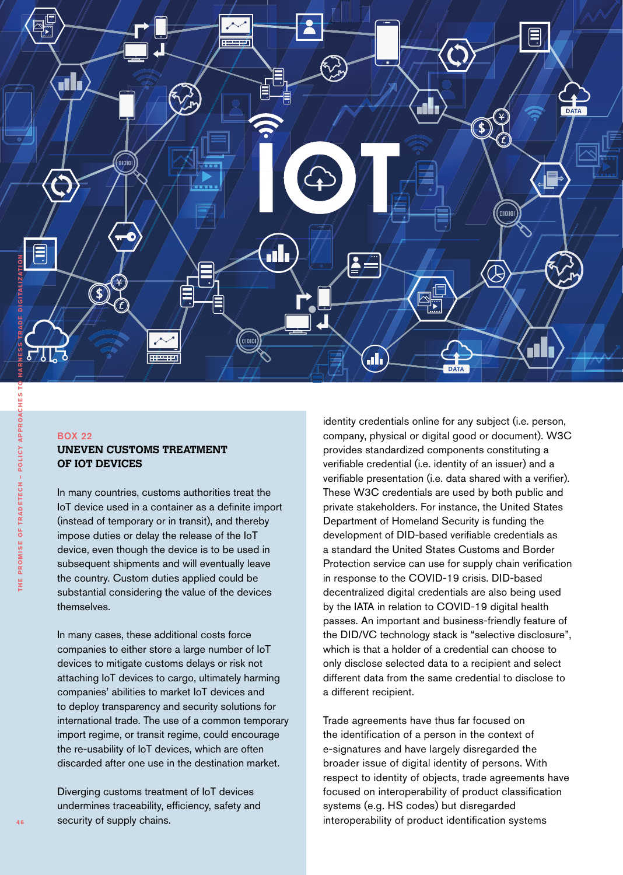

# BOX 22

### **UNEVEN CUSTOMS TREATMENT OF IOT DEVICES**

In many countries, customs authorities treat the IoT device used in a container as a definite import (instead of temporary or in transit), and thereby impose duties or delay the release of the IoT device, even though the device is to be used in subsequent shipments and will eventually leave the country. Custom duties applied could be substantial considering the value of the devices themselves.

In many cases, these additional costs force companies to either store a large number of IoT devices to mitigate customs delays or risk not attaching IoT devices to cargo, ultimately harming companies' abilities to market IoT devices and to deploy transparency and security solutions for international trade. The use of a common temporary import regime, or transit regime, could encourage the re-usability of IoT devices, which are often discarded after one use in the destination market.

Diverging customs treatment of IoT devices undermines traceability, efficiency, safety and security of supply chains.

identity credentials online for any subject (i.e. person, company, physical or digital good or document). W3C provides standardized components constituting a verifiable credential (i.e. identity of an issuer) and a verifiable presentation (i.e. data shared with a verifier). These W3C credentials are used by both public and private stakeholders. For instance, the United States Department of Homeland Security is funding the development of DID-based verifiable credentials as a standard the United States Customs and Border Protection service can use for supply chain verification in response to the COVID-19 crisis. DID-based decentralized digital credentials are also being used by the IATA in relation to COVID-19 digital health passes. An important and business-friendly feature of the DID/VC technology stack is "selective disclosure", which is that a holder of a credential can choose to only disclose selected data to a recipient and select different data from the same credential to disclose to a different recipient.

Trade agreements have thus far focused on the identification of a person in the context of e-signatures and have largely disregarded the broader issue of digital identity of persons. With respect to identity of objects, trade agreements have focused on interoperability of product classification systems (e.g. HS codes) but disregarded interoperability of product identification systems